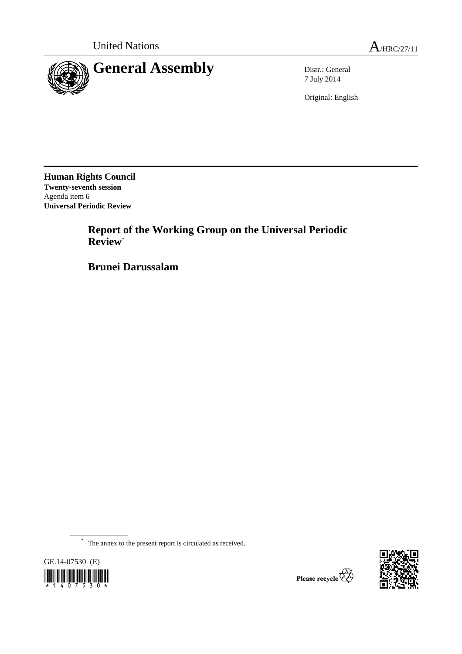

7 July 2014

Original: English

**Human Rights Council Twenty-seventh session**  Agenda item 6 **Universal Periodic Review** 

> **Report of the Working Group on the Universal Periodic Review**\*

 **Brunei Darussalam** 

\* The annex to the present report is circulated as received.



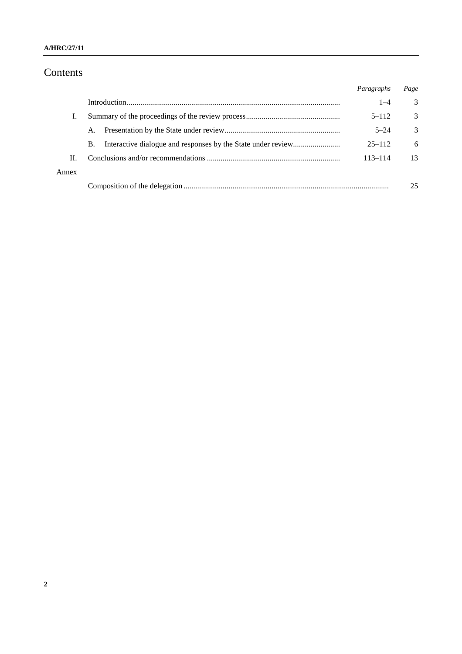### **A/HRC/27/11**

# Contents

|       |    | Paragraphs  | Page |
|-------|----|-------------|------|
|       |    | $1 - 4$     | 3    |
| Ι.    |    | $5 - 112$   | 3    |
|       | Α. | $5 - 24$    | 3    |
|       | В. | $25 - 112$  | 6    |
| П.    |    | $113 - 114$ | 13   |
| Annex |    |             |      |
|       |    |             | 25   |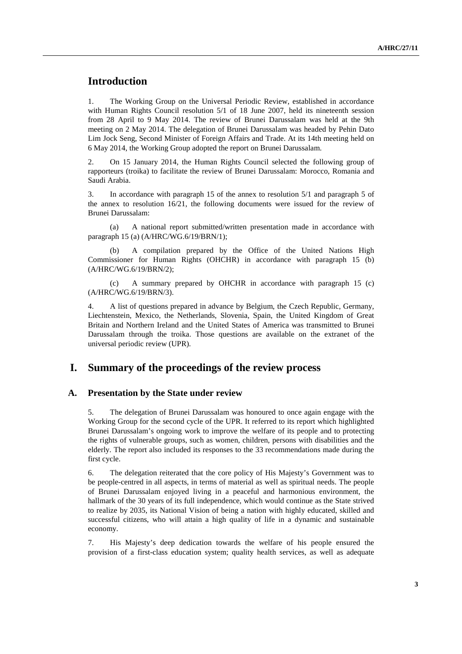## **Introduction**

1. The Working Group on the Universal Periodic Review, established in accordance with Human Rights Council resolution 5/1 of 18 June 2007, held its nineteenth session from 28 April to 9 May 2014. The review of Brunei Darussalam was held at the 9th meeting on 2 May 2014. The delegation of Brunei Darussalam was headed by Pehin Dato Lim Jock Seng, Second Minister of Foreign Affairs and Trade. At its 14th meeting held on 6 May 2014, the Working Group adopted the report on Brunei Darussalam.

2. On 15 January 2014, the Human Rights Council selected the following group of rapporteurs (troika) to facilitate the review of Brunei Darussalam: Morocco, Romania and Saudi Arabia.

3. In accordance with paragraph 15 of the annex to resolution 5/1 and paragraph 5 of the annex to resolution 16/21, the following documents were issued for the review of Brunei Darussalam:

(a) A national report submitted/written presentation made in accordance with paragraph 15 (a) (A/HRC/WG.6/19/BRN/1);

(b) A compilation prepared by the Office of the United Nations High Commissioner for Human Rights (OHCHR) in accordance with paragraph 15 (b) (A/HRC/WG.6/19/BRN/2);

(c) A summary prepared by OHCHR in accordance with paragraph 15 (c) (A/HRC/WG.6/19/BRN/3).

4. A list of questions prepared in advance by Belgium, the Czech Republic, Germany, Liechtenstein, Mexico, the Netherlands, Slovenia, Spain, the United Kingdom of Great Britain and Northern Ireland and the United States of America was transmitted to Brunei Darussalam through the troika. Those questions are available on the extranet of the universal periodic review (UPR).

### **I. Summary of the proceedings of the review process**

#### **A. Presentation by the State under review**

5. The delegation of Brunei Darussalam was honoured to once again engage with the Working Group for the second cycle of the UPR. It referred to its report which highlighted Brunei Darussalam's ongoing work to improve the welfare of its people and to protecting the rights of vulnerable groups, such as women, children, persons with disabilities and the elderly. The report also included its responses to the 33 recommendations made during the first cycle.

6. The delegation reiterated that the core policy of His Majesty's Government was to be people-centred in all aspects, in terms of material as well as spiritual needs. The people of Brunei Darussalam enjoyed living in a peaceful and harmonious environment, the hallmark of the 30 years of its full independence, which would continue as the State strived to realize by 2035, its National Vision of being a nation with highly educated, skilled and successful citizens, who will attain a high quality of life in a dynamic and sustainable economy.

7. His Majesty's deep dedication towards the welfare of his people ensured the provision of a first-class education system; quality health services, as well as adequate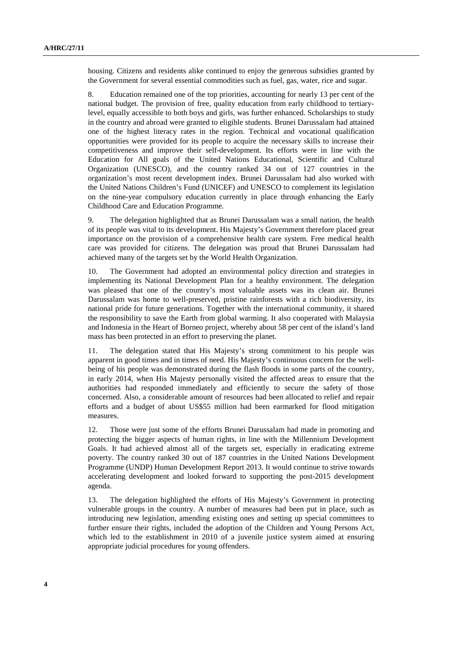housing. Citizens and residents alike continued to enjoy the generous subsidies granted by the Government for several essential commodities such as fuel, gas, water, rice and sugar.

8. Education remained one of the top priorities, accounting for nearly 13 per cent of the national budget. The provision of free, quality education from early childhood to tertiarylevel, equally accessible to both boys and girls, was further enhanced. Scholarships to study in the country and abroad were granted to eligible students. Brunei Darussalam had attained one of the highest literacy rates in the region. Technical and vocational qualification opportunities were provided for its people to acquire the necessary skills to increase their competitiveness and improve their self-development. Its efforts were in line with the Education for All goals of the United Nations Educational, Scientific and Cultural Organization (UNESCO), and the country ranked 34 out of 127 countries in the organization's most recent development index. Brunei Darussalam had also worked with the United Nations Children's Fund (UNICEF) and UNESCO to complement its legislation on the nine-year compulsory education currently in place through enhancing the Early Childhood Care and Education Programme.

9. The delegation highlighted that as Brunei Darussalam was a small nation, the health of its people was vital to its development. His Majesty's Government therefore placed great importance on the provision of a comprehensive health care system. Free medical health care was provided for citizens. The delegation was proud that Brunei Darussalam had achieved many of the targets set by the World Health Organization.

10. The Government had adopted an environmental policy direction and strategies in implementing its National Development Plan for a healthy environment. The delegation was pleased that one of the country's most valuable assets was its clean air. Brunei Darussalam was home to well-preserved, pristine rainforests with a rich biodiversity, its national pride for future generations. Together with the international community, it shared the responsibility to save the Earth from global warming. It also cooperated with Malaysia and Indonesia in the Heart of Borneo project, whereby about 58 per cent of the island's land mass has been protected in an effort to preserving the planet.

11. The delegation stated that His Majesty's strong commitment to his people was apparent in good times and in times of need. His Majesty's continuous concern for the wellbeing of his people was demonstrated during the flash floods in some parts of the country, in early 2014, when His Majesty personally visited the affected areas to ensure that the authorities had responded immediately and efficiently to secure the safety of those concerned. Also, a considerable amount of resources had been allocated to relief and repair efforts and a budget of about US\$55 million had been earmarked for flood mitigation measures.

12. Those were just some of the efforts Brunei Darussalam had made in promoting and protecting the bigger aspects of human rights, in line with the Millennium Development Goals. It had achieved almost all of the targets set, especially in eradicating extreme poverty. The country ranked 30 out of 187 countries in the United Nations Development Programme (UNDP) Human Development Report 2013. It would continue to strive towards accelerating development and looked forward to supporting the post-2015 development agenda.

13. The delegation highlighted the efforts of His Majesty's Government in protecting vulnerable groups in the country. A number of measures had been put in place, such as introducing new legislation, amending existing ones and setting up special committees to further ensure their rights, included the adoption of the Children and Young Persons Act, which led to the establishment in 2010 of a juvenile justice system aimed at ensuring appropriate judicial procedures for young offenders.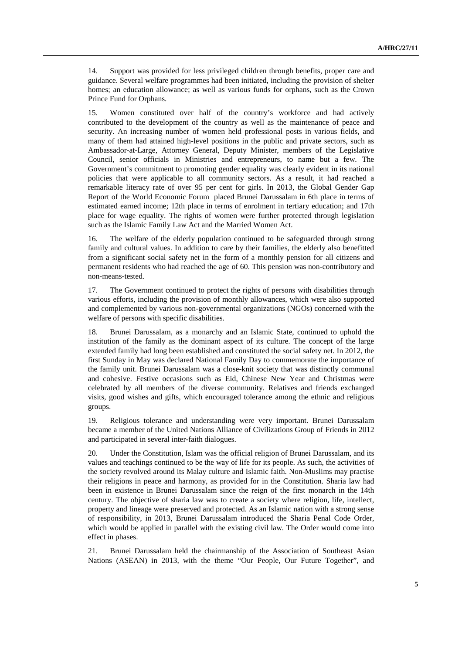14. Support was provided for less privileged children through benefits, proper care and guidance. Several welfare programmes had been initiated, including the provision of shelter homes; an education allowance; as well as various funds for orphans, such as the Crown Prince Fund for Orphans.

15. Women constituted over half of the country's workforce and had actively contributed to the development of the country as well as the maintenance of peace and security. An increasing number of women held professional posts in various fields, and many of them had attained high-level positions in the public and private sectors, such as Ambassador-at-Large, Attorney General, Deputy Minister, members of the Legislative Council, senior officials in Ministries and entrepreneurs, to name but a few. The Government's commitment to promoting gender equality was clearly evident in its national policies that were applicable to all community sectors. As a result, it had reached a remarkable literacy rate of over 95 per cent for girls. In 2013, the Global Gender Gap Report of the World Economic Forum placed Brunei Darussalam in 6th place in terms of estimated earned income; 12th place in terms of enrolment in tertiary education; and 17th place for wage equality. The rights of women were further protected through legislation such as the Islamic Family Law Act and the Married Women Act.

16. The welfare of the elderly population continued to be safeguarded through strong family and cultural values. In addition to care by their families, the elderly also benefitted from a significant social safety net in the form of a monthly pension for all citizens and permanent residents who had reached the age of 60. This pension was non-contributory and non-means-tested.

17. The Government continued to protect the rights of persons with disabilities through various efforts, including the provision of monthly allowances, which were also supported and complemented by various non-governmental organizations (NGOs) concerned with the welfare of persons with specific disabilities.

18. Brunei Darussalam, as a monarchy and an Islamic State, continued to uphold the institution of the family as the dominant aspect of its culture. The concept of the large extended family had long been established and constituted the social safety net. In 2012, the first Sunday in May was declared National Family Day to commemorate the importance of the family unit. Brunei Darussalam was a close-knit society that was distinctly communal and cohesive. Festive occasions such as Eid, Chinese New Year and Christmas were celebrated by all members of the diverse community. Relatives and friends exchanged visits, good wishes and gifts, which encouraged tolerance among the ethnic and religious groups.

19. Religious tolerance and understanding were very important. Brunei Darussalam became a member of the United Nations Alliance of Civilizations Group of Friends in 2012 and participated in several inter-faith dialogues.

20. Under the Constitution, Islam was the official religion of Brunei Darussalam, and its values and teachings continued to be the way of life for its people. As such, the activities of the society revolved around its Malay culture and Islamic faith. Non-Muslims may practise their religions in peace and harmony, as provided for in the Constitution. Sharia law had been in existence in Brunei Darussalam since the reign of the first monarch in the 14th century. The objective of sharia law was to create a society where religion, life, intellect, property and lineage were preserved and protected. As an Islamic nation with a strong sense of responsibility, in 2013, Brunei Darussalam introduced the Sharia Penal Code Order, which would be applied in parallel with the existing civil law. The Order would come into effect in phases.

21. Brunei Darussalam held the chairmanship of the Association of Southeast Asian Nations (ASEAN) in 2013, with the theme "Our People, Our Future Together", and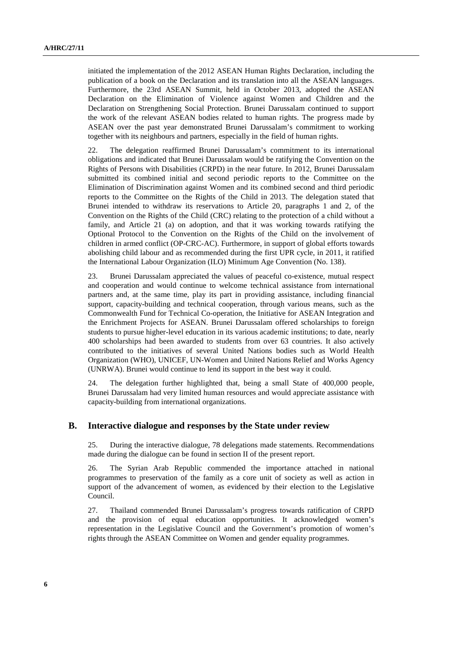initiated the implementation of the 2012 ASEAN Human Rights Declaration, including the publication of a book on the Declaration and its translation into all the ASEAN languages. Furthermore, the 23rd ASEAN Summit, held in October 2013, adopted the ASEAN Declaration on the Elimination of Violence against Women and Children and the Declaration on Strengthening Social Protection. Brunei Darussalam continued to support the work of the relevant ASEAN bodies related to human rights. The progress made by ASEAN over the past year demonstrated Brunei Darussalam's commitment to working together with its neighbours and partners, especially in the field of human rights.

22. The delegation reaffirmed Brunei Darussalam's commitment to its international obligations and indicated that Brunei Darussalam would be ratifying the Convention on the Rights of Persons with Disabilities (CRPD) in the near future. In 2012, Brunei Darussalam submitted its combined initial and second periodic reports to the Committee on the Elimination of Discrimination against Women and its combined second and third periodic reports to the Committee on the Rights of the Child in 2013. The delegation stated that Brunei intended to withdraw its reservations to Article 20, paragraphs 1 and 2, of the Convention on the Rights of the Child (CRC) relating to the protection of a child without a family, and Article 21 (a) on adoption, and that it was working towards ratifying the Optional Protocol to the Convention on the Rights of the Child on the involvement of children in armed conflict (OP-CRC-AC). Furthermore, in support of global efforts towards abolishing child labour and as recommended during the first UPR cycle, in 2011, it ratified the International Labour Organization (ILO) Minimum Age Convention (No. 138).

23. Brunei Darussalam appreciated the values of peaceful co-existence, mutual respect and cooperation and would continue to welcome technical assistance from international partners and, at the same time, play its part in providing assistance, including financial support, capacity-building and technical cooperation, through various means, such as the Commonwealth Fund for Technical Co-operation, the Initiative for ASEAN Integration and the Enrichment Projects for ASEAN. Brunei Darussalam offered scholarships to foreign students to pursue higher-level education in its various academic institutions; to date, nearly 400 scholarships had been awarded to students from over 63 countries. It also actively contributed to the initiatives of several United Nations bodies such as World Health Organization (WHO), UNICEF, UN-Women and United Nations Relief and Works Agency (UNRWA). Brunei would continue to lend its support in the best way it could.

24. The delegation further highlighted that, being a small State of 400,000 people, Brunei Darussalam had very limited human resources and would appreciate assistance with capacity-building from international organizations.

#### **B. Interactive dialogue and responses by the State under review**

25. During the interactive dialogue, 78 delegations made statements. Recommendations made during the dialogue can be found in section II of the present report.

26. The Syrian Arab Republic commended the importance attached in national programmes to preservation of the family as a core unit of society as well as action in support of the advancement of women, as evidenced by their election to the Legislative Council.

27. Thailand commended Brunei Darussalam's progress towards ratification of CRPD and the provision of equal education opportunities. It acknowledged women's representation in the Legislative Council and the Government's promotion of women's rights through the ASEAN Committee on Women and gender equality programmes.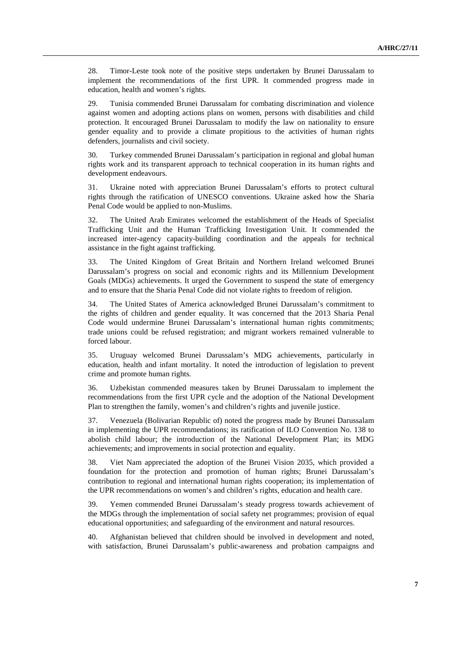28. Timor-Leste took note of the positive steps undertaken by Brunei Darussalam to implement the recommendations of the first UPR. It commended progress made in education, health and women's rights.

29. Tunisia commended Brunei Darussalam for combating discrimination and violence against women and adopting actions plans on women, persons with disabilities and child protection. It encouraged Brunei Darussalam to modify the law on nationality to ensure gender equality and to provide a climate propitious to the activities of human rights defenders, journalists and civil society.

30. Turkey commended Brunei Darussalam's participation in regional and global human rights work and its transparent approach to technical cooperation in its human rights and development endeavours.

31. Ukraine noted with appreciation Brunei Darussalam's efforts to protect cultural rights through the ratification of UNESCO conventions. Ukraine asked how the Sharia Penal Code would be applied to non-Muslims.

32. The United Arab Emirates welcomed the establishment of the Heads of Specialist Trafficking Unit and the Human Trafficking Investigation Unit. It commended the increased inter-agency capacity-building coordination and the appeals for technical assistance in the fight against trafficking.

33. The United Kingdom of Great Britain and Northern Ireland welcomed Brunei Darussalam's progress on social and economic rights and its Millennium Development Goals (MDGs) achievements. It urged the Government to suspend the state of emergency and to ensure that the Sharia Penal Code did not violate rights to freedom of religion.

34. The United States of America acknowledged Brunei Darussalam's commitment to the rights of children and gender equality. It was concerned that the 2013 Sharia Penal Code would undermine Brunei Darussalam's international human rights commitments; trade unions could be refused registration; and migrant workers remained vulnerable to forced labour.

35. Uruguay welcomed Brunei Darussalam's MDG achievements, particularly in education, health and infant mortality. It noted the introduction of legislation to prevent crime and promote human rights.

36. Uzbekistan commended measures taken by Brunei Darussalam to implement the recommendations from the first UPR cycle and the adoption of the National Development Plan to strengthen the family, women's and children's rights and juvenile justice.

37. Venezuela (Bolivarian Republic of) noted the progress made by Brunei Darussalam in implementing the UPR recommendations; its ratification of ILO Convention No. 138 to abolish child labour; the introduction of the National Development Plan; its MDG achievements; and improvements in social protection and equality.

38. Viet Nam appreciated the adoption of the Brunei Vision 2035, which provided a foundation for the protection and promotion of human rights; Brunei Darussalam's contribution to regional and international human rights cooperation; its implementation of the UPR recommendations on women's and children's rights, education and health care.

39. Yemen commended Brunei Darussalam's steady progress towards achievement of the MDGs through the implementation of social safety net programmes; provision of equal educational opportunities; and safeguarding of the environment and natural resources.

40. Afghanistan believed that children should be involved in development and noted, with satisfaction, Brunei Darussalam's public-awareness and probation campaigns and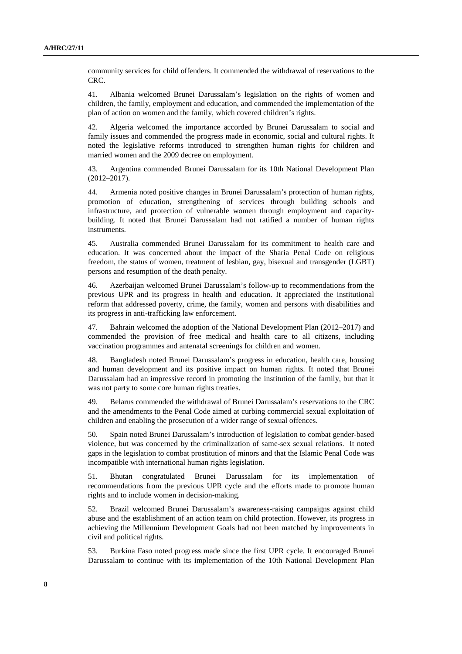community services for child offenders. It commended the withdrawal of reservations to the CRC.

41. Albania welcomed Brunei Darussalam's legislation on the rights of women and children, the family, employment and education, and commended the implementation of the plan of action on women and the family, which covered children's rights.

42. Algeria welcomed the importance accorded by Brunei Darussalam to social and family issues and commended the progress made in economic, social and cultural rights. It noted the legislative reforms introduced to strengthen human rights for children and married women and the 2009 decree on employment.

43. Argentina commended Brunei Darussalam for its 10th National Development Plan (2012–2017).

44. Armenia noted positive changes in Brunei Darussalam's protection of human rights, promotion of education, strengthening of services through building schools and infrastructure, and protection of vulnerable women through employment and capacitybuilding. It noted that Brunei Darussalam had not ratified a number of human rights instruments.

45. Australia commended Brunei Darussalam for its commitment to health care and education. It was concerned about the impact of the Sharia Penal Code on religious freedom, the status of women, treatment of lesbian, gay, bisexual and transgender (LGBT) persons and resumption of the death penalty.

46. Azerbaijan welcomed Brunei Darussalam's follow-up to recommendations from the previous UPR and its progress in health and education. It appreciated the institutional reform that addressed poverty, crime, the family, women and persons with disabilities and its progress in anti-trafficking law enforcement.

47. Bahrain welcomed the adoption of the National Development Plan (2012–2017) and commended the provision of free medical and health care to all citizens, including vaccination programmes and antenatal screenings for children and women.

48. Bangladesh noted Brunei Darussalam's progress in education, health care, housing and human development and its positive impact on human rights. It noted that Brunei Darussalam had an impressive record in promoting the institution of the family, but that it was not party to some core human rights treaties.

49. Belarus commended the withdrawal of Brunei Darussalam's reservations to the CRC and the amendments to the Penal Code aimed at curbing commercial sexual exploitation of children and enabling the prosecution of a wider range of sexual offences.

50. Spain noted Brunei Darussalam's introduction of legislation to combat gender-based violence, but was concerned by the criminalization of same-sex sexual relations. It noted gaps in the legislation to combat prostitution of minors and that the Islamic Penal Code was incompatible with international human rights legislation.

51. Bhutan congratulated Brunei Darussalam for its implementation of recommendations from the previous UPR cycle and the efforts made to promote human rights and to include women in decision-making.

52. Brazil welcomed Brunei Darussalam's awareness-raising campaigns against child abuse and the establishment of an action team on child protection. However, its progress in achieving the Millennium Development Goals had not been matched by improvements in civil and political rights.

53. Burkina Faso noted progress made since the first UPR cycle. It encouraged Brunei Darussalam to continue with its implementation of the 10th National Development Plan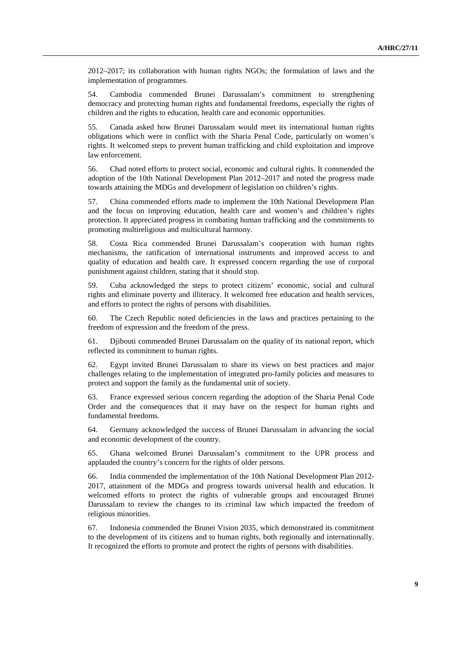2012–2017; its collaboration with human rights NGOs; the formulation of laws and the implementation of programmes.

54. Cambodia commended Brunei Darussalam's commitment to strengthening democracy and protecting human rights and fundamental freedoms, especially the rights of children and the rights to education, health care and economic opportunities.

55. Canada asked how Brunei Darussalam would meet its international human rights obligations which were in conflict with the Sharia Penal Code, particularly on women's rights. It welcomed steps to prevent human trafficking and child exploitation and improve law enforcement.

56. Chad noted efforts to protect social, economic and cultural rights. It commended the adoption of the 10th National Development Plan 2012–2017 and noted the progress made towards attaining the MDGs and development of legislation on children's rights.

57. China commended efforts made to implement the 10th National Development Plan and the focus on improving education, health care and women's and children's rights protection. It appreciated progress in combating human trafficking and the commitments to promoting multireligious and multicultural harmony.

58. Costa Rica commended Brunei Darussalam's cooperation with human rights mechanisms, the ratification of international instruments and improved access to and quality of education and health care. It expressed concern regarding the use of corporal punishment against children, stating that it should stop.

59. Cuba acknowledged the steps to protect citizens' economic, social and cultural rights and eliminate poverty and illiteracy. It welcomed free education and health services, and efforts to protect the rights of persons with disabilities.

60. The Czech Republic noted deficiencies in the laws and practices pertaining to the freedom of expression and the freedom of the press.

61. Djibouti commended Brunei Darussalam on the quality of its national report, which reflected its commitment to human rights.

62. Egypt invited Brunei Darussalam to share its views on best practices and major challenges relating to the implementation of integrated pro-family policies and measures to protect and support the family as the fundamental unit of society.

63. France expressed serious concern regarding the adoption of the Sharia Penal Code Order and the consequences that it may have on the respect for human rights and fundamental freedoms.

64. Germany acknowledged the success of Brunei Darussalam in advancing the social and economic development of the country.

65. Ghana welcomed Brunei Darussalam's commitment to the UPR process and applauded the country's concern for the rights of older persons.

66. India commended the implementation of the 10th National Development Plan 2012- 2017, attainment of the MDGs and progress towards universal health and education. It welcomed efforts to protect the rights of vulnerable groups and encouraged Brunei Darussalam to review the changes to its criminal law which impacted the freedom of religious minorities.

67. Indonesia commended the Brunei Vision 2035, which demonstrated its commitment to the development of its citizens and to human rights, both regionally and internationally. It recognized the efforts to promote and protect the rights of persons with disabilities.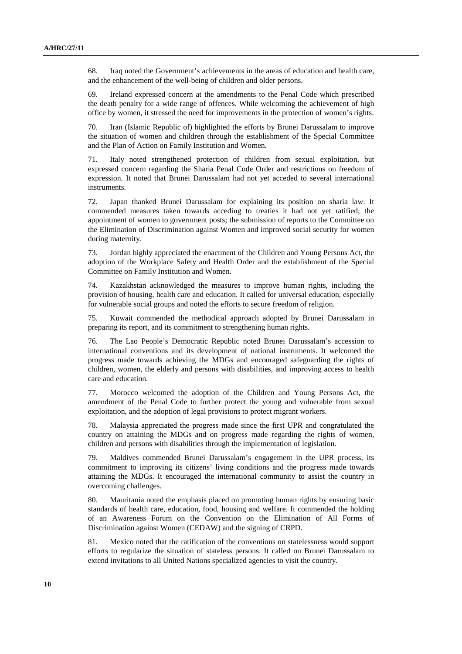68. Iraq noted the Government's achievements in the areas of education and health care, and the enhancement of the well-being of children and older persons.

69. Ireland expressed concern at the amendments to the Penal Code which prescribed the death penalty for a wide range of offences. While welcoming the achievement of high office by women, it stressed the need for improvements in the protection of women's rights.

70. Iran (Islamic Republic of) highlighted the efforts by Brunei Darussalam to improve the situation of women and children through the establishment of the Special Committee and the Plan of Action on Family Institution and Women.

71. Italy noted strengthened protection of children from sexual exploitation, but expressed concern regarding the Sharia Penal Code Order and restrictions on freedom of expression. It noted that Brunei Darussalam had not yet acceded to several international instruments.

72. Japan thanked Brunei Darussalam for explaining its position on sharia law. It commended measures taken towards acceding to treaties it had not yet ratified; the appointment of women to government posts; the submission of reports to the Committee on the Elimination of Discrimination against Women and improved social security for women during maternity.

73. Jordan highly appreciated the enactment of the Children and Young Persons Act, the adoption of the Workplace Safety and Health Order and the establishment of the Special Committee on Family Institution and Women.

74. Kazakhstan acknowledged the measures to improve human rights, including the provision of housing, health care and education. It called for universal education, especially for vulnerable social groups and noted the efforts to secure freedom of religion.

75. Kuwait commended the methodical approach adopted by Brunei Darussalam in preparing its report, and its commitment to strengthening human rights.

76. The Lao People's Democratic Republic noted Brunei Darussalam's accession to international conventions and its development of national instruments. It welcomed the progress made towards achieving the MDGs and encouraged safeguarding the rights of children, women, the elderly and persons with disabilities, and improving access to health care and education.

77. Morocco welcomed the adoption of the Children and Young Persons Act, the amendment of the Penal Code to further protect the young and vulnerable from sexual exploitation, and the adoption of legal provisions to protect migrant workers.

78. Malaysia appreciated the progress made since the first UPR and congratulated the country on attaining the MDGs and on progress made regarding the rights of women, children and persons with disabilities through the implementation of legislation.

79. Maldives commended Brunei Darussalam's engagement in the UPR process, its commitment to improving its citizens' living conditions and the progress made towards attaining the MDGs. It encouraged the international community to assist the country in overcoming challenges.

80. Mauritania noted the emphasis placed on promoting human rights by ensuring basic standards of health care, education, food, housing and welfare. It commended the holding of an Awareness Forum on the Convention on the Elimination of All Forms of Discrimination against Women (CEDAW) and the signing of CRPD.

81. Mexico noted that the ratification of the conventions on statelessness would support efforts to regularize the situation of stateless persons. It called on Brunei Darussalam to extend invitations to all United Nations specialized agencies to visit the country.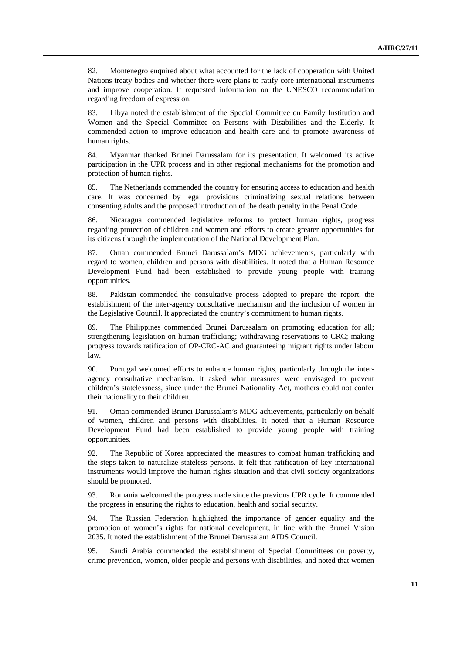82. Montenegro enquired about what accounted for the lack of cooperation with United Nations treaty bodies and whether there were plans to ratify core international instruments and improve cooperation. It requested information on the UNESCO recommendation regarding freedom of expression.

83. Libya noted the establishment of the Special Committee on Family Institution and Women and the Special Committee on Persons with Disabilities and the Elderly. It commended action to improve education and health care and to promote awareness of human rights.

84. Myanmar thanked Brunei Darussalam for its presentation. It welcomed its active participation in the UPR process and in other regional mechanisms for the promotion and protection of human rights.

85. The Netherlands commended the country for ensuring access to education and health care. It was concerned by legal provisions criminalizing sexual relations between consenting adults and the proposed introduction of the death penalty in the Penal Code.

86. Nicaragua commended legislative reforms to protect human rights, progress regarding protection of children and women and efforts to create greater opportunities for its citizens through the implementation of the National Development Plan.

87. Oman commended Brunei Darussalam's MDG achievements, particularly with regard to women, children and persons with disabilities. It noted that a Human Resource Development Fund had been established to provide young people with training opportunities.

88. Pakistan commended the consultative process adopted to prepare the report, the establishment of the inter-agency consultative mechanism and the inclusion of women in the Legislative Council. It appreciated the country's commitment to human rights.

89. The Philippines commended Brunei Darussalam on promoting education for all; strengthening legislation on human trafficking; withdrawing reservations to CRC; making progress towards ratification of OP-CRC-AC and guaranteeing migrant rights under labour law.

90. Portugal welcomed efforts to enhance human rights, particularly through the interagency consultative mechanism. It asked what measures were envisaged to prevent children's statelessness, since under the Brunei Nationality Act, mothers could not confer their nationality to their children.

91. Oman commended Brunei Darussalam's MDG achievements, particularly on behalf of women, children and persons with disabilities. It noted that a Human Resource Development Fund had been established to provide young people with training opportunities.

92. The Republic of Korea appreciated the measures to combat human trafficking and the steps taken to naturalize stateless persons. It felt that ratification of key international instruments would improve the human rights situation and that civil society organizations should be promoted.

93. Romania welcomed the progress made since the previous UPR cycle. It commended the progress in ensuring the rights to education, health and social security.

94. The Russian Federation highlighted the importance of gender equality and the promotion of women's rights for national development, in line with the Brunei Vision 2035. It noted the establishment of the Brunei Darussalam AIDS Council.

95. Saudi Arabia commended the establishment of Special Committees on poverty, crime prevention, women, older people and persons with disabilities, and noted that women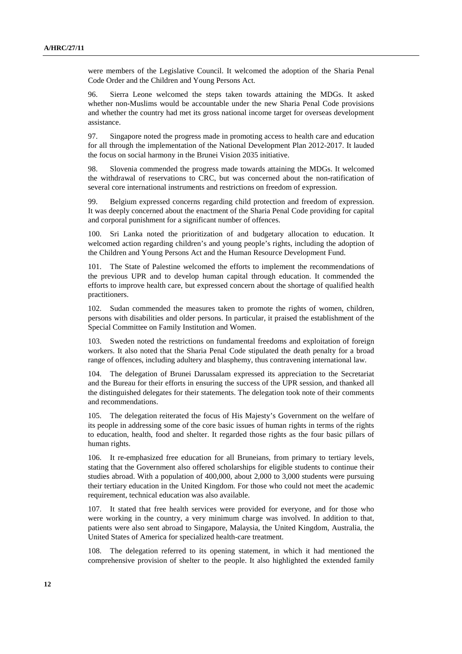were members of the Legislative Council. It welcomed the adoption of the Sharia Penal Code Order and the Children and Young Persons Act.

96. Sierra Leone welcomed the steps taken towards attaining the MDGs. It asked whether non-Muslims would be accountable under the new Sharia Penal Code provisions and whether the country had met its gross national income target for overseas development assistance.

97. Singapore noted the progress made in promoting access to health care and education for all through the implementation of the National Development Plan 2012-2017. It lauded the focus on social harmony in the Brunei Vision 2035 initiative.

98. Slovenia commended the progress made towards attaining the MDGs. It welcomed the withdrawal of reservations to CRC, but was concerned about the non-ratification of several core international instruments and restrictions on freedom of expression.

99. Belgium expressed concerns regarding child protection and freedom of expression. It was deeply concerned about the enactment of the Sharia Penal Code providing for capital and corporal punishment for a significant number of offences.

100. Sri Lanka noted the prioritization of and budgetary allocation to education. It welcomed action regarding children's and young people's rights, including the adoption of the Children and Young Persons Act and the Human Resource Development Fund.

101. The State of Palestine welcomed the efforts to implement the recommendations of the previous UPR and to develop human capital through education. It commended the efforts to improve health care, but expressed concern about the shortage of qualified health practitioners.

102. Sudan commended the measures taken to promote the rights of women, children, persons with disabilities and older persons. In particular, it praised the establishment of the Special Committee on Family Institution and Women.

103. Sweden noted the restrictions on fundamental freedoms and exploitation of foreign workers. It also noted that the Sharia Penal Code stipulated the death penalty for a broad range of offences, including adultery and blasphemy, thus contravening international law.

104. The delegation of Brunei Darussalam expressed its appreciation to the Secretariat and the Bureau for their efforts in ensuring the success of the UPR session, and thanked all the distinguished delegates for their statements. The delegation took note of their comments and recommendations.

105. The delegation reiterated the focus of His Majesty's Government on the welfare of its people in addressing some of the core basic issues of human rights in terms of the rights to education, health, food and shelter. It regarded those rights as the four basic pillars of human rights.

106. It re-emphasized free education for all Bruneians, from primary to tertiary levels, stating that the Government also offered scholarships for eligible students to continue their studies abroad. With a population of 400,000, about 2,000 to 3,000 students were pursuing their tertiary education in the United Kingdom. For those who could not meet the academic requirement, technical education was also available.

107. It stated that free health services were provided for everyone, and for those who were working in the country, a very minimum charge was involved. In addition to that, patients were also sent abroad to Singapore, Malaysia, the United Kingdom, Australia, the United States of America for specialized health-care treatment.

108. The delegation referred to its opening statement, in which it had mentioned the comprehensive provision of shelter to the people. It also highlighted the extended family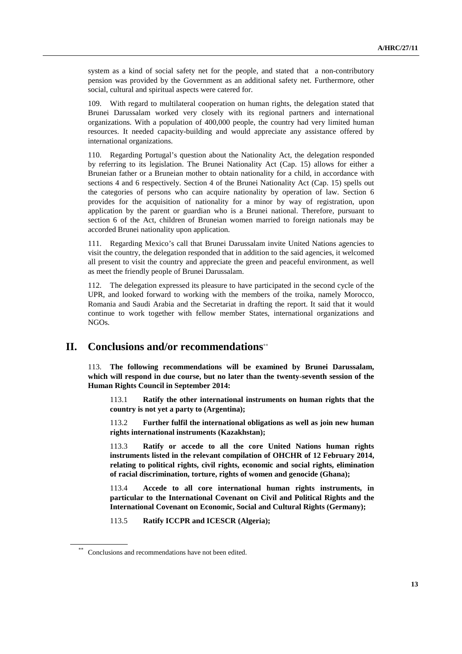system as a kind of social safety net for the people, and stated that a non-contributory pension was provided by the Government as an additional safety net. Furthermore, other social, cultural and spiritual aspects were catered for.

109. With regard to multilateral cooperation on human rights, the delegation stated that Brunei Darussalam worked very closely with its regional partners and international organizations. With a population of 400,000 people, the country had very limited human resources. It needed capacity-building and would appreciate any assistance offered by international organizations.

110. Regarding Portugal's question about the Nationality Act, the delegation responded by referring to its legislation. The Brunei Nationality Act (Cap. 15) allows for either a Bruneian father or a Bruneian mother to obtain nationality for a child, in accordance with sections 4 and 6 respectively. Section 4 of the Brunei Nationality Act (Cap. 15) spells out the categories of persons who can acquire nationality by operation of law. Section 6 provides for the acquisition of nationality for a minor by way of registration, upon application by the parent or guardian who is a Brunei national. Therefore, pursuant to section 6 of the Act, children of Bruneian women married to foreign nationals may be accorded Brunei nationality upon application.

111. Regarding Mexico's call that Brunei Darussalam invite United Nations agencies to visit the country, the delegation responded that in addition to the said agencies, it welcomed all present to visit the country and appreciate the green and peaceful environment, as well as meet the friendly people of Brunei Darussalam.

112. The delegation expressed its pleasure to have participated in the second cycle of the UPR, and looked forward to working with the members of the troika, namely Morocco, Romania and Saudi Arabia and the Secretariat in drafting the report. It said that it would continue to work together with fellow member States, international organizations and NGOs.

### **II. Conclusions and/or recommendations**∗∗

113. **The following recommendations will be examined by Brunei Darussalam, which will respond in due course, but no later than the twenty-seventh session of the Human Rights Council in September 2014:** 

113.1 **Ratify the other international instruments on human rights that the country is not yet a party to (Argentina);** 

113.2 **Further fulfil the international obligations as well as join new human rights international instruments (Kazakhstan);** 

113.3 **Ratify or accede to all the core United Nations human rights instruments listed in the relevant compilation of OHCHR of 12 February 2014, relating to political rights, civil rights, economic and social rights, elimination of racial discrimination, torture, rights of women and genocide (Ghana);** 

113.4 **Accede to all core international human rights instruments, in particular to the International Covenant on Civil and Political Rights and the International Covenant on Economic, Social and Cultural Rights (Germany);** 

113.5 **Ratify ICCPR and ICESCR (Algeria);** 

Conclusions and recommendations have not been edited.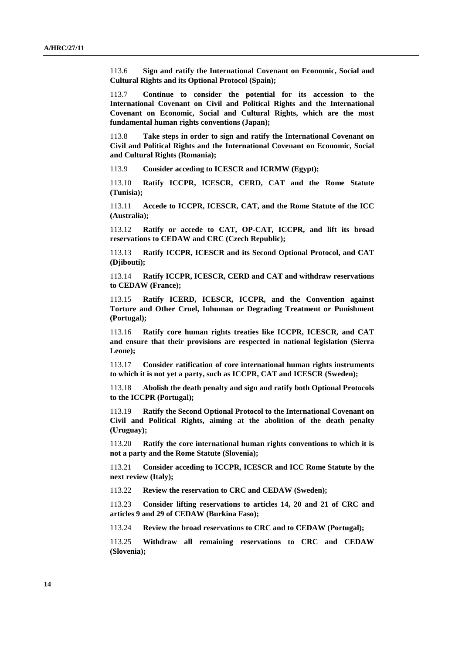113.6 **Sign and ratify the International Covenant on Economic, Social and Cultural Rights and its Optional Protocol (Spain);** 

113.7 **Continue to consider the potential for its accession to the International Covenant on Civil and Political Rights and the International Covenant on Economic, Social and Cultural Rights, which are the most fundamental human rights conventions (Japan);** 

113.8 **Take steps in order to sign and ratify the International Covenant on Civil and Political Rights and the International Covenant on Economic, Social and Cultural Rights (Romania);** 

113.9 **Consider acceding to ICESCR and ICRMW (Egypt);** 

113.10 **Ratify ICCPR, ICESCR, CERD, CAT and the Rome Statute (Tunisia);** 

113.11 **Accede to ICCPR, ICESCR, CAT, and the Rome Statute of the ICC (Australia);** 

113.12 **Ratify or accede to CAT, OP-CAT, ICCPR, and lift its broad reservations to CEDAW and CRC (Czech Republic);** 

113.13 **Ratify ICCPR, ICESCR and its Second Optional Protocol, and CAT (Djibouti);** 

113.14 **Ratify ICCPR, ICESCR, CERD and CAT and withdraw reservations to CEDAW (France);** 

113.15 **Ratify ICERD, ICESCR, ICCPR, and the Convention against Torture and Other Cruel, Inhuman or Degrading Treatment or Punishment (Portugal);** 

113.16 **Ratify core human rights treaties like ICCPR, ICESCR, and CAT and ensure that their provisions are respected in national legislation (Sierra Leone);** 

113.17 **Consider ratification of core international human rights instruments to which it is not yet a party, such as ICCPR, CAT and ICESCR (Sweden);** 

113.18 **Abolish the death penalty and sign and ratify both Optional Protocols to the ICCPR (Portugal);** 

113.19 **Ratify the Second Optional Protocol to the International Covenant on Civil and Political Rights, aiming at the abolition of the death penalty (Uruguay);** 

113.20 **Ratify the core international human rights conventions to which it is not a party and the Rome Statute (Slovenia);** 

113.21 **Consider acceding to ICCPR, ICESCR and ICC Rome Statute by the next review (Italy);** 

113.22 **Review the reservation to CRC and CEDAW (Sweden);** 

113.23 **Consider lifting reservations to articles 14, 20 and 21 of CRC and articles 9 and 29 of CEDAW (Burkina Faso);** 

113.24 **Review the broad reservations to CRC and to CEDAW (Portugal);** 

113.25 **Withdraw all remaining reservations to CRC and CEDAW (Slovenia);**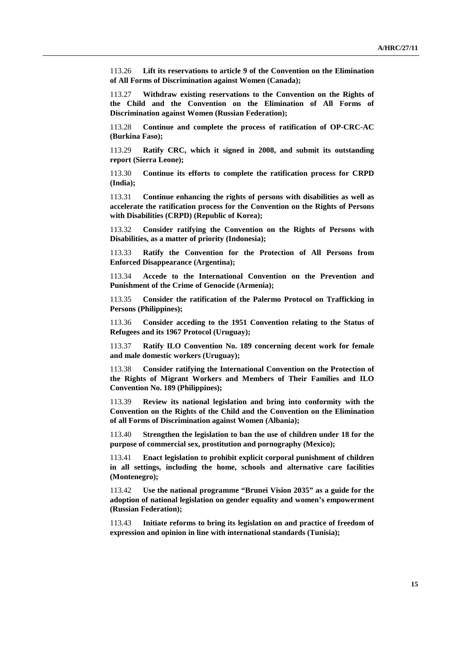113.26 **Lift its reservations to article 9 of the Convention on the Elimination of All Forms of Discrimination against Women (Canada);** 

113.27 **Withdraw existing reservations to the Convention on the Rights of the Child and the Convention on the Elimination of All Forms of Discrimination against Women (Russian Federation);** 

113.28 **Continue and complete the process of ratification of OP-CRC-AC (Burkina Faso);** 

113.29 **Ratify CRC, which it signed in 2008, and submit its outstanding report (Sierra Leone);** 

113.30 **Continue its efforts to complete the ratification process for CRPD (India);** 

113.31 **Continue enhancing the rights of persons with disabilities as well as accelerate the ratification process for the Convention on the Rights of Persons with Disabilities (CRPD) (Republic of Korea);** 

113.32 **Consider ratifying the Convention on the Rights of Persons with Disabilities, as a matter of priority (Indonesia);** 

113.33 **Ratify the Convention for the Protection of All Persons from Enforced Disappearance (Argentina);** 

113.34 **Accede to the International Convention on the Prevention and Punishment of the Crime of Genocide (Armenia);** 

113.35 **Consider the ratification of the Palermo Protocol on Trafficking in Persons (Philippines);** 

113.36 **Consider acceding to the 1951 Convention relating to the Status of Refugees and its 1967 Protocol (Uruguay);** 

113.37 **Ratify ILO Convention No. 189 concerning decent work for female and male domestic workers (Uruguay);** 

113.38 **Consider ratifying the International Convention on the Protection of the Rights of Migrant Workers and Members of Their Families and ILO Convention No. 189 (Philippines);** 

113.39 **Review its national legislation and bring into conformity with the Convention on the Rights of the Child and the Convention on the Elimination of all Forms of Discrimination against Women (Albania);** 

113.40 **Strengthen the legislation to ban the use of children under 18 for the purpose of commercial sex, prostitution and pornography (Mexico);** 

113.41 **Enact legislation to prohibit explicit corporal punishment of children in all settings, including the home, schools and alternative care facilities (Montenegro);** 

113.42 **Use the national programme "Brunei Vision 2035" as a guide for the adoption of national legislation on gender equality and women's empowerment (Russian Federation);** 

113.43 **Initiate reforms to bring its legislation on and practice of freedom of expression and opinion in line with international standards (Tunisia);**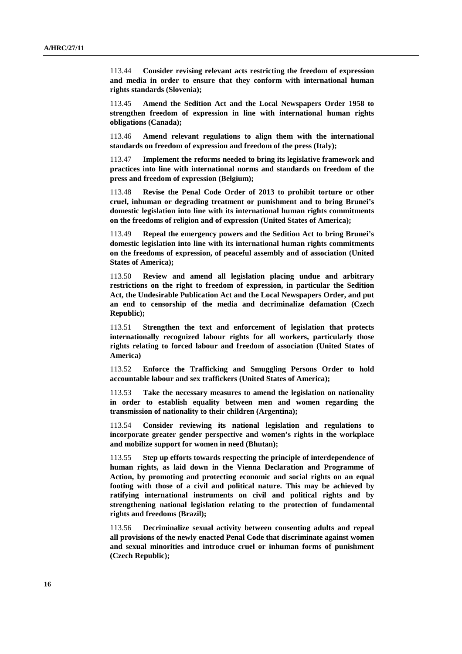113.44 **Consider revising relevant acts restricting the freedom of expression and media in order to ensure that they conform with international human rights standards (Slovenia);** 

113.45 **Amend the Sedition Act and the Local Newspapers Order 1958 to strengthen freedom of expression in line with international human rights obligations (Canada);** 

113.46 **Amend relevant regulations to align them with the international standards on freedom of expression and freedom of the press (Italy);** 

113.47 **Implement the reforms needed to bring its legislative framework and practices into line with international norms and standards on freedom of the press and freedom of expression (Belgium);** 

113.48 **Revise the Penal Code Order of 2013 to prohibit torture or other cruel, inhuman or degrading treatment or punishment and to bring Brunei's domestic legislation into line with its international human rights commitments on the freedoms of religion and of expression (United States of America);** 

113.49 **Repeal the emergency powers and the Sedition Act to bring Brunei's domestic legislation into line with its international human rights commitments on the freedoms of expression, of peaceful assembly and of association (United States of America);** 

113.50 **Review and amend all legislation placing undue and arbitrary restrictions on the right to freedom of expression, in particular the Sedition Act, the Undesirable Publication Act and the Local Newspapers Order, and put an end to censorship of the media and decriminalize defamation (Czech Republic);** 

113.51 **Strengthen the text and enforcement of legislation that protects internationally recognized labour rights for all workers, particularly those rights relating to forced labour and freedom of association (United States of America)** 

113.52 **Enforce the Trafficking and Smuggling Persons Order to hold accountable labour and sex traffickers (United States of America);** 

113.53 **Take the necessary measures to amend the legislation on nationality in order to establish equality between men and women regarding the transmission of nationality to their children (Argentina);** 

113.54 **Consider reviewing its national legislation and regulations to incorporate greater gender perspective and women's rights in the workplace and mobilize support for women in need (Bhutan);** 

113.55 **Step up efforts towards respecting the principle of interdependence of human rights, as laid down in the Vienna Declaration and Programme of Action, by promoting and protecting economic and social rights on an equal footing with those of a civil and political nature. This may be achieved by ratifying international instruments on civil and political rights and by strengthening national legislation relating to the protection of fundamental rights and freedoms (Brazil);** 

113.56 **Decriminalize sexual activity between consenting adults and repeal all provisions of the newly enacted Penal Code that discriminate against women and sexual minorities and introduce cruel or inhuman forms of punishment (Czech Republic);**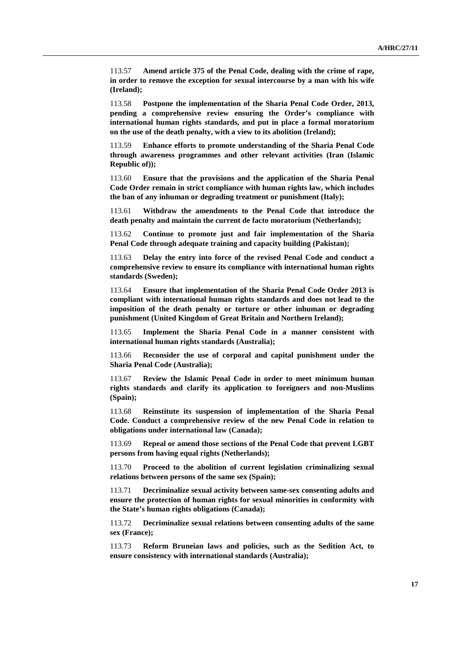113.57 **Amend article 375 of the Penal Code, dealing with the crime of rape, in order to remove the exception for sexual intercourse by a man with his wife (Ireland);** 

113.58 **Postpone the implementation of the Sharia Penal Code Order, 2013, pending a comprehensive review ensuring the Order's compliance with international human rights standards, and put in place a formal moratorium on the use of the death penalty, with a view to its abolition (Ireland);** 

113.59 **Enhance efforts to promote understanding of the Sharia Penal Code through awareness programmes and other relevant activities (Iran (Islamic Republic of));** 

113.60 **Ensure that the provisions and the application of the Sharia Penal Code Order remain in strict compliance with human rights law, which includes the ban of any inhuman or degrading treatment or punishment (Italy);** 

113.61 **Withdraw the amendments to the Penal Code that introduce the death penalty and maintain the current de facto moratorium (Netherlands);** 

113.62 **Continue to promote just and fair implementation of the Sharia Penal Code through adequate training and capacity building (Pakistan);** 

113.63 **Delay the entry into force of the revised Penal Code and conduct a comprehensive review to ensure its compliance with international human rights standards (Sweden);** 

113.64 **Ensure that implementation of the Sharia Penal Code Order 2013 is compliant with international human rights standards and does not lead to the imposition of the death penalty or torture or other inhuman or degrading punishment (United Kingdom of Great Britain and Northern Ireland);** 

113.65 **Implement the Sharia Penal Code in a manner consistent with international human rights standards (Australia);** 

113.66 **Reconsider the use of corporal and capital punishment under the Sharia Penal Code (Australia);** 

113.67 **Review the Islamic Penal Code in order to meet minimum human rights standards and clarify its application to foreigners and non-Muslims (Spain);** 

113.68 **Reinstitute its suspension of implementation of the Sharia Penal Code. Conduct a comprehensive review of the new Penal Code in relation to obligations under international law (Canada);** 

113.69 **Repeal or amend those sections of the Penal Code that prevent LGBT persons from having equal rights (Netherlands);** 

113.70 **Proceed to the abolition of current legislation criminalizing sexual relations between persons of the same sex (Spain);** 

113.71 **Decriminalize sexual activity between same-sex consenting adults and ensure the protection of human rights for sexual minorities in conformity with the State's human rights obligations (Canada);** 

113.72 **Decriminalize sexual relations between consenting adults of the same sex (France);** 

113.73 **Reform Bruneian laws and policies, such as the Sedition Act, to ensure consistency with international standards (Australia);**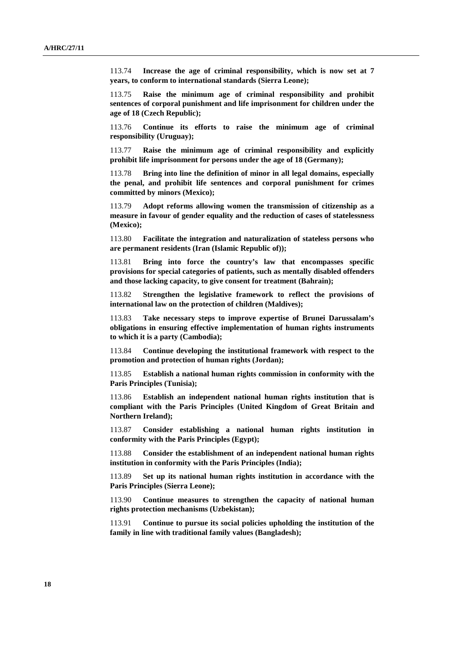113.74 **Increase the age of criminal responsibility, which is now set at 7 years, to conform to international standards (Sierra Leone);** 

113.75 **Raise the minimum age of criminal responsibility and prohibit sentences of corporal punishment and life imprisonment for children under the age of 18 (Czech Republic);** 

113.76 **Continue its efforts to raise the minimum age of criminal responsibility (Uruguay);** 

113.77 **Raise the minimum age of criminal responsibility and explicitly prohibit life imprisonment for persons under the age of 18 (Germany);** 

113.78 **Bring into line the definition of minor in all legal domains, especially the penal, and prohibit life sentences and corporal punishment for crimes committed by minors (Mexico);** 

113.79 **Adopt reforms allowing women the transmission of citizenship as a measure in favour of gender equality and the reduction of cases of statelessness (Mexico);** 

113.80 **Facilitate the integration and naturalization of stateless persons who are permanent residents (Iran (Islamic Republic of));** 

113.81 **Bring into force the country's law that encompasses specific provisions for special categories of patients, such as mentally disabled offenders and those lacking capacity, to give consent for treatment (Bahrain);** 

113.82 **Strengthen the legislative framework to reflect the provisions of international law on the protection of children (Maldives);** 

113.83 **Take necessary steps to improve expertise of Brunei Darussalam's obligations in ensuring effective implementation of human rights instruments to which it is a party (Cambodia);** 

113.84 **Continue developing the institutional framework with respect to the promotion and protection of human rights (Jordan);** 

113.85 **Establish a national human rights commission in conformity with the Paris Principles (Tunisia);** 

113.86 **Establish an independent national human rights institution that is compliant with the Paris Principles (United Kingdom of Great Britain and Northern Ireland);** 

113.87 **Consider establishing a national human rights institution in conformity with the Paris Principles (Egypt);** 

113.88 **Consider the establishment of an independent national human rights institution in conformity with the Paris Principles (India);** 

113.89 **Set up its national human rights institution in accordance with the Paris Principles (Sierra Leone);** 

113.90 **Continue measures to strengthen the capacity of national human rights protection mechanisms (Uzbekistan);** 

113.91 **Continue to pursue its social policies upholding the institution of the family in line with traditional family values (Bangladesh);**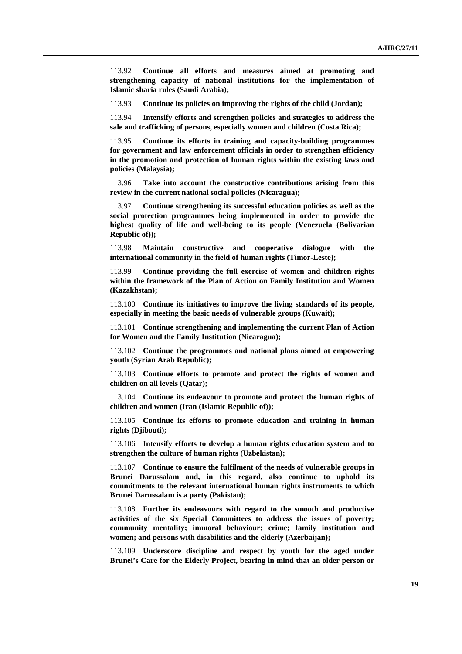113.92 **Continue all efforts and measures aimed at promoting and strengthening capacity of national institutions for the implementation of Islamic sharia rules (Saudi Arabia);** 

113.93 **Continue its policies on improving the rights of the child (Jordan);** 

113.94 **Intensify efforts and strengthen policies and strategies to address the sale and trafficking of persons, especially women and children (Costa Rica);** 

113.95 **Continue its efforts in training and capacity-building programmes for government and law enforcement officials in order to strengthen efficiency in the promotion and protection of human rights within the existing laws and policies (Malaysia);** 

113.96 **Take into account the constructive contributions arising from this review in the current national social policies (Nicaragua);** 

113.97 **Continue strengthening its successful education policies as well as the social protection programmes being implemented in order to provide the highest quality of life and well-being to its people (Venezuela (Bolivarian Republic of));** 

113.98 **Maintain constructive and cooperative dialogue with the international community in the field of human rights (Timor-Leste);** 

113.99 **Continue providing the full exercise of women and children rights within the framework of the Plan of Action on Family Institution and Women (Kazakhstan);** 

113.100 **Continue its initiatives to improve the living standards of its people, especially in meeting the basic needs of vulnerable groups (Kuwait);** 

113.101 **Continue strengthening and implementing the current Plan of Action for Women and the Family Institution (Nicaragua);** 

113.102 **Continue the programmes and national plans aimed at empowering youth (Syrian Arab Republic);** 

113.103 **Continue efforts to promote and protect the rights of women and children on all levels (Qatar);** 

113.104 **Continue its endeavour to promote and protect the human rights of children and women (Iran (Islamic Republic of));** 

113.105 **Continue its efforts to promote education and training in human rights (Djibouti);** 

113.106 **Intensify efforts to develop a human rights education system and to strengthen the culture of human rights (Uzbekistan);** 

113.107 **Continue to ensure the fulfilment of the needs of vulnerable groups in Brunei Darussalam and, in this regard, also continue to uphold its commitments to the relevant international human rights instruments to which Brunei Darussalam is a party (Pakistan);** 

113.108 **Further its endeavours with regard to the smooth and productive activities of the six Special Committees to address the issues of poverty; community mentality; immoral behaviour; crime; family institution and women; and persons with disabilities and the elderly (Azerbaijan);** 

113.109 **Underscore discipline and respect by youth for the aged under Brunei's Care for the Elderly Project, bearing in mind that an older person or**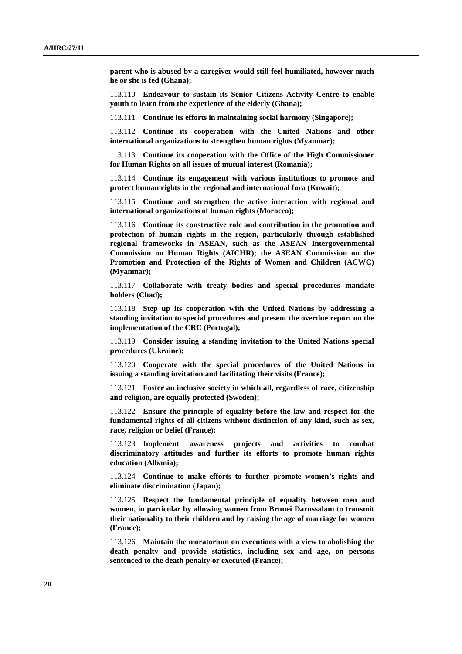**parent who is abused by a caregiver would still feel humiliated, however much he or she is fed (Ghana);** 

113.110 **Endeavour to sustain its Senior Citizens Activity Centre to enable youth to learn from the experience of the elderly (Ghana);** 

113.111 **Continue its efforts in maintaining social harmony (Singapore);** 

113.112 **Continue its cooperation with the United Nations and other international organizations to strengthen human rights (Myanmar);** 

113.113 **Continue its cooperation with the Office of the High Commissioner for Human Rights on all issues of mutual interest (Romania);** 

113.114 **Continue its engagement with various institutions to promote and protect human rights in the regional and international fora (Kuwait);** 

113.115 **Continue and strengthen the active interaction with regional and international organizations of human rights (Morocco);** 

113.116 **Continue its constructive role and contribution in the promotion and protection of human rights in the region, particularly through established regional frameworks in ASEAN, such as the ASEAN Intergovernmental Commission on Human Rights (AICHR); the ASEAN Commission on the Promotion and Protection of the Rights of Women and Children (ACWC) (Myanmar);** 

113.117 **Collaborate with treaty bodies and special procedures mandate holders (Chad);** 

113.118 **Step up its cooperation with the United Nations by addressing a standing invitation to special procedures and present the overdue report on the implementation of the CRC (Portugal);** 

113.119 **Consider issuing a standing invitation to the United Nations special procedures (Ukraine);** 

113.120 **Cooperate with the special procedures of the United Nations in issuing a standing invitation and facilitating their visits (France);** 

113.121 **Foster an inclusive society in which all, regardless of race, citizenship and religion, are equally protected (Sweden);** 

113.122 **Ensure the principle of equality before the law and respect for the fundamental rights of all citizens without distinction of any kind, such as sex, race, religion or belief (France);** 

113.123 **Implement awareness projects and activities to combat discriminatory attitudes and further its efforts to promote human rights education (Albania);** 

113.124 **Continue to make efforts to further promote women's rights and eliminate discrimination (Japan);** 

113.125 **Respect the fundamental principle of equality between men and women, in particular by allowing women from Brunei Darussalam to transmit their nationality to their children and by raising the age of marriage for women (France);** 

113.126 **Maintain the moratorium on executions with a view to abolishing the death penalty and provide statistics, including sex and age, on persons sentenced to the death penalty or executed (France);**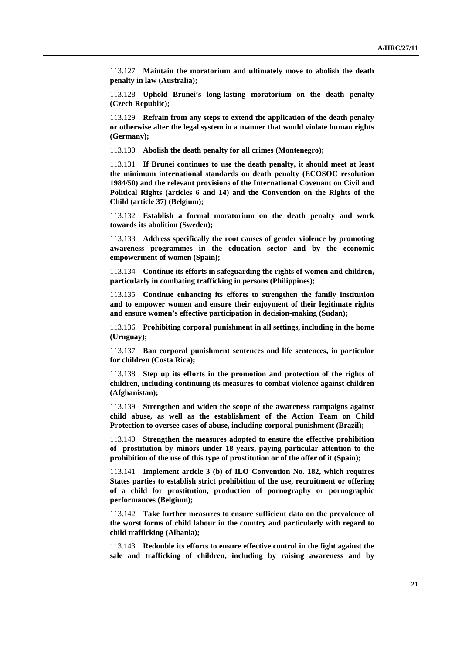113.127 **Maintain the moratorium and ultimately move to abolish the death penalty in law (Australia);** 

113.128 **Uphold Brunei's long-lasting moratorium on the death penalty (Czech Republic);** 

113.129 **Refrain from any steps to extend the application of the death penalty or otherwise alter the legal system in a manner that would violate human rights (Germany);** 

113.130 **Abolish the death penalty for all crimes (Montenegro);** 

113.131 **If Brunei continues to use the death penalty, it should meet at least the minimum international standards on death penalty (ECOSOC resolution 1984/50) and the relevant provisions of the International Covenant on Civil and Political Rights (articles 6 and 14) and the Convention on the Rights of the Child (article 37) (Belgium);** 

113.132 **Establish a formal moratorium on the death penalty and work towards its abolition (Sweden);** 

113.133 **Address specifically the root causes of gender violence by promoting awareness programmes in the education sector and by the economic empowerment of women (Spain);** 

113.134 **Continue its efforts in safeguarding the rights of women and children, particularly in combating trafficking in persons (Philippines);** 

113.135 **Continue enhancing its efforts to strengthen the family institution and to empower women and ensure their enjoyment of their legitimate rights and ensure women's effective participation in decision-making (Sudan);** 

113.136 **Prohibiting corporal punishment in all settings, including in the home (Uruguay);** 

113.137 **Ban corporal punishment sentences and life sentences, in particular for children (Costa Rica);** 

113.138 **Step up its efforts in the promotion and protection of the rights of children, including continuing its measures to combat violence against children (Afghanistan);** 

113.139 **Strengthen and widen the scope of the awareness campaigns against child abuse, as well as the establishment of the Action Team on Child Protection to oversee cases of abuse, including corporal punishment (Brazil);** 

113.140 **Strengthen the measures adopted to ensure the effective prohibition of prostitution by minors under 18 years, paying particular attention to the prohibition of the use of this type of prostitution or of the offer of it (Spain);** 

113.141 **Implement article 3 (b) of ILO Convention No. 182, which requires States parties to establish strict prohibition of the use, recruitment or offering of a child for prostitution, production of pornography or pornographic performances (Belgium);** 

113.142 **Take further measures to ensure sufficient data on the prevalence of the worst forms of child labour in the country and particularly with regard to child trafficking (Albania);** 

113.143 **Redouble its efforts to ensure effective control in the fight against the sale and trafficking of children, including by raising awareness and by**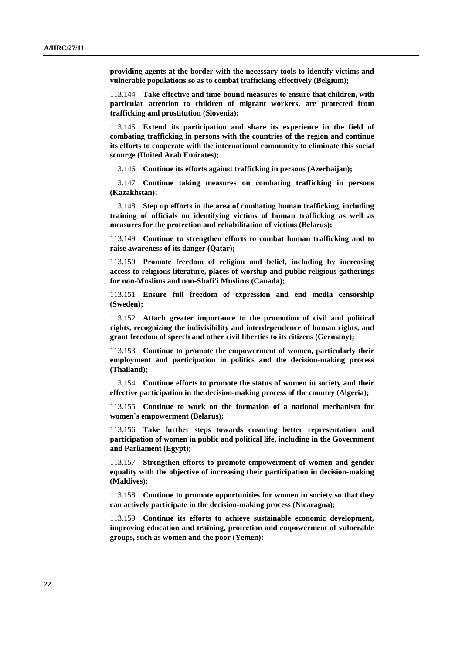**providing agents at the border with the necessary tools to identify victims and vulnerable populations so as to combat trafficking effectively (Belgium);** 

113.144 **Take effective and time-bound measures to ensure that children, with particular attention to children of migrant workers, are protected from trafficking and prostitution (Slovenia);** 

113.145 **Extend its participation and share its experience in the field of combating trafficking in persons with the countries of the region and continue its efforts to cooperate with the international community to eliminate this social scourge (United Arab Emirates);** 

113.146 **Continue its efforts against trafficking in persons (Azerbaijan);** 

113.147 **Continue taking measures on combating trafficking in persons (Kazakhstan);** 

113.148 **Step up efforts in the area of combating human trafficking, including training of officials on identifying victims of human trafficking as well as measures for the protection and rehabilitation of victims (Belarus);** 

113.149 **Continue to strengthen efforts to combat human trafficking and to raise awareness of its danger (Qatar);** 

113.150 **Promote freedom of religion and belief, including by increasing access to religious literature, places of worship and public religious gatherings for non-Muslims and non-Shafi'i Muslims (Canada);** 

113.151 **Ensure full freedom of expression and end media censorship (Sweden);** 

113.152 **Attach greater importance to the promotion of civil and political rights, recognizing the indivisibility and interdependence of human rights, and grant freedom of speech and other civil liberties to its citizens (Germany);** 

113.153 **Continue to promote the empowerment of women, particularly their employment and participation in politics and the decision-making process (Thailand);** 

113.154 **Continue efforts to promote the status of women in society and their effective participation in the decision-making process of the country (Algeria);** 

113.155 **Continue to work on the formation of a national mechanism for women`s empowerment (Belarus);** 

113.156 **Take further steps towards ensuring better representation and participation of women in public and political life, including in the Government and Parliament (Egypt);** 

113.157 **Strengthen efforts to promote empowerment of women and gender equality with the objective of increasing their participation in decision-making (Maldives);** 

113.158 **Continue to promote opportunities for women in society so that they can actively participate in the decision-making process (Nicaragua);** 

113.159 **Continue its efforts to achieve sustainable economic development, improving education and training, protection and empowerment of vulnerable groups, such as women and the poor (Yemen);**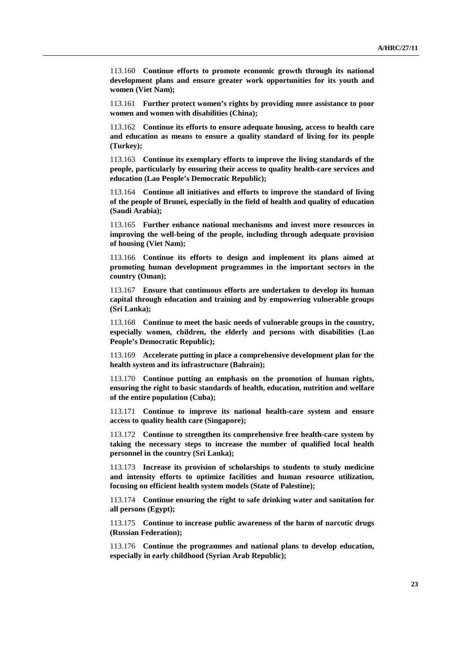113.160 **Continue efforts to promote economic growth through its national development plans and ensure greater work opportunities for its youth and women (Viet Nam);** 

113.161 **Further protect women's rights by providing more assistance to poor women and women with disabilities (China);** 

113.162 **Continue its efforts to ensure adequate housing, access to health care and education as means to ensure a quality standard of living for its people (Turkey);** 

113.163 **Continue its exemplary efforts to improve the living standards of the people, particularly by ensuring their access to quality health-care services and education (Lao People's Democratic Republic);** 

113.164 **Continue all initiatives and efforts to improve the standard of living of the people of Brunei, especially in the field of health and quality of education (Saudi Arabia);** 

113.165 **Further enhance national mechanisms and invest more resources in improving the well-being of the people, including through adequate provision of housing (Viet Nam);** 

113.166 **Continue its efforts to design and implement its plans aimed at promoting human development programmes in the important sectors in the country (Oman);** 

113.167 **Ensure that continuous efforts are undertaken to develop its human capital through education and training and by empowering vulnerable groups (Sri Lanka);** 

113.168 **Continue to meet the basic needs of vulnerable groups in the country, especially women, children, the elderly and persons with disabilities (Lao People's Democratic Republic);** 

113.169 **Accelerate putting in place a comprehensive development plan for the health system and its infrastructure (Bahrain);** 

113.170 **Continue putting an emphasis on the promotion of human rights, ensuring the right to basic standards of health, education, nutrition and welfare of the entire population (Cuba);** 

113.171 **Continue to improve its national health-care system and ensure access to quality health care (Singapore);** 

113.172 **Continue to strengthen its comprehensive free health-care system by taking the necessary steps to increase the number of qualified local health personnel in the country (Sri Lanka);** 

113.173 **Increase its provision of scholarships to students to study medicine and intensity efforts to optimize facilities and human resource utilization, focusing on efficient health system models (State of Palestine);** 

113.174 **Continue ensuring the right to safe drinking water and sanitation for all persons (Egypt);** 

113.175 **Continue to increase public awareness of the harm of narcotic drugs (Russian Federation);** 

113.176 **Continue the programmes and national plans to develop education, especially in early childhood (Syrian Arab Republic);**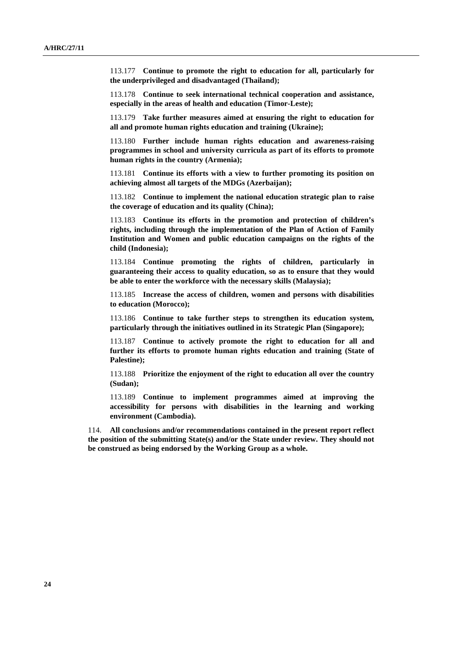113.177 **Continue to promote the right to education for all, particularly for the underprivileged and disadvantaged (Thailand);** 

113.178 **Continue to seek international technical cooperation and assistance, especially in the areas of health and education (Timor-Leste);** 

113.179 **Take further measures aimed at ensuring the right to education for all and promote human rights education and training (Ukraine);** 

113.180 **Further include human rights education and awareness-raising programmes in school and university curricula as part of its efforts to promote human rights in the country (Armenia);** 

113.181 **Continue its efforts with a view to further promoting its position on achieving almost all targets of the MDGs (Azerbaijan);** 

113.182 **Continue to implement the national education strategic plan to raise the coverage of education and its quality (China);** 

113.183 **Continue its efforts in the promotion and protection of children's rights, including through the implementation of the Plan of Action of Family Institution and Women and public education campaigns on the rights of the child (Indonesia);** 

113.184 **Continue promoting the rights of children, particularly in guaranteeing their access to quality education, so as to ensure that they would be able to enter the workforce with the necessary skills (Malaysia);** 

113.185 **Increase the access of children, women and persons with disabilities to education (Morocco);** 

113.186 **Continue to take further steps to strengthen its education system, particularly through the initiatives outlined in its Strategic Plan (Singapore);** 

113.187 **Continue to actively promote the right to education for all and further its efforts to promote human rights education and training (State of Palestine);** 

113.188 **Prioritize the enjoyment of the right to education all over the country (Sudan);** 

113.189 **Continue to implement programmes aimed at improving the accessibility for persons with disabilities in the learning and working environment (Cambodia).**

114. **All conclusions and/or recommendations contained in the present report reflect the position of the submitting State(s) and/or the State under review. They should not be construed as being endorsed by the Working Group as a whole.**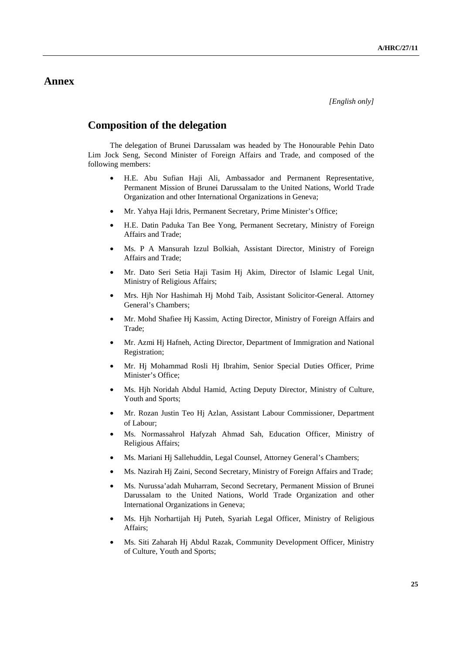## **Annex**

## **Composition of the delegation**

The delegation of Brunei Darussalam was headed by The Honourable Pehin Dato Lim Jock Seng, Second Minister of Foreign Affairs and Trade, and composed of the following members:

- H.E. Abu Sufian Haji Ali, Ambassador and Permanent Representative, Permanent Mission of Brunei Darussalam to the United Nations, World Trade Organization and other International Organizations in Geneva;
- Mr. Yahya Haji Idris, Permanent Secretary, Prime Minister's Office;
- H.E. Datin Paduka Tan Bee Yong, Permanent Secretary, Ministry of Foreign Affairs and Trade;
- Ms. P A Mansurah Izzul Bolkiah, Assistant Director, Ministry of Foreign Affairs and Trade;
- Mr. Dato Seri Setia Haji Tasim Hj Akim, Director of Islamic Legal Unit, Ministry of Religious Affairs;
- Mrs. Hjh Nor Hashimah Hj Mohd Taib, Assistant Solicitor-General. Attorney General's Chambers;
- Mr. Mohd Shafiee Hj Kassim, Acting Director, Ministry of Foreign Affairs and Trade;
- Mr. Azmi Hj Hafneh, Acting Director, Department of Immigration and National Registration;
- Mr. Hj Mohammad Rosli Hj Ibrahim, Senior Special Duties Officer, Prime Minister's Office;
- Ms. Hjh Noridah Abdul Hamid, Acting Deputy Director, Ministry of Culture, Youth and Sports:
- Mr. Rozan Justin Teo Hj Azlan, Assistant Labour Commissioner, Department of Labour;
- Ms. Normassahrol Hafyzah Ahmad Sah, Education Officer, Ministry of Religious Affairs;
- Ms. Mariani Hj Sallehuddin, Legal Counsel, Attorney General's Chambers;
- Ms. Nazirah Hj Zaini, Second Secretary, Ministry of Foreign Affairs and Trade;
- Ms. Nurussa'adah Muharram, Second Secretary, Permanent Mission of Brunei Darussalam to the United Nations, World Trade Organization and other International Organizations in Geneva;
- Ms. Hjh Norhartijah Hj Puteh, Syariah Legal Officer, Ministry of Religious Affairs;
- Ms. Siti Zaharah Hj Abdul Razak, Community Development Officer, Ministry of Culture, Youth and Sports;